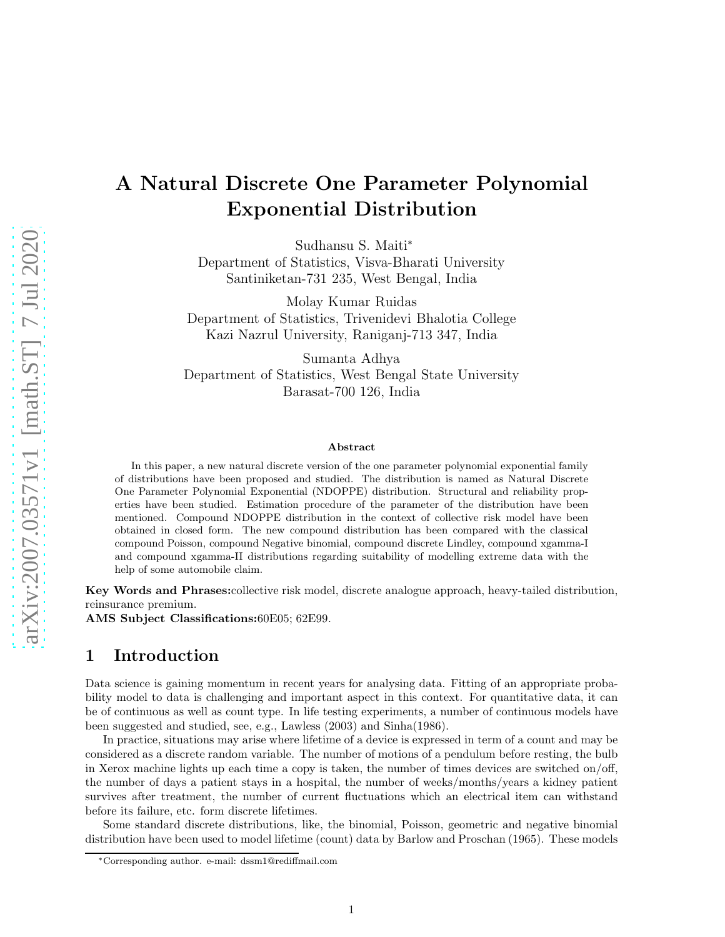# A Natural Discrete One Parameter Polynomial Exponential Distribution

Sudhansu S. Maiti<sup>∗</sup> Department of Statistics, Visva-Bharati University Santiniketan-731 235, West Bengal, India

Molay Kumar Ruidas Department of Statistics, Trivenidevi Bhalotia College Kazi Nazrul University, Raniganj-713 347, India

Sumanta Adhya Department of Statistics, West Bengal State University Barasat-700 126, India

#### Abstract

In this paper, a new natural discrete version of the one parameter polynomial exponential family of distributions have been proposed and studied. The distribution is named as Natural Discrete One Parameter Polynomial Exponential (NDOPPE) distribution. Structural and reliability properties have been studied. Estimation procedure of the parameter of the distribution have been mentioned. Compound NDOPPE distribution in the context of collective risk model have been obtained in closed form. The new compound distribution has been compared with the classical compound Poisson, compound Negative binomial, compound discrete Lindley, compound xgamma-I and compound xgamma-II distributions regarding suitability of modelling extreme data with the help of some automobile claim.

Key Words and Phrases:collective risk model, discrete analogue approach, heavy-tailed distribution, reinsurance premium.

AMS Subject Classifications:60E05; 62E99.

## 1 Introduction

Data science is gaining momentum in recent years for analysing data. Fitting of an appropriate probability model to data is challenging and important aspect in this context. For quantitative data, it can be of continuous as well as count type. In life testing experiments, a number of continuous models have been suggested and studied, see, e.g., Lawless (2003) and Sinha(1986).

In practice, situations may arise where lifetime of a device is expressed in term of a count and may be considered as a discrete random variable. The number of motions of a pendulum before resting, the bulb in Xerox machine lights up each time a copy is taken, the number of times devices are switched on/off, the number of days a patient stays in a hospital, the number of weeks/months/years a kidney patient survives after treatment, the number of current fluctuations which an electrical item can withstand before its failure, etc. form discrete lifetimes.

Some standard discrete distributions, like, the binomial, Poisson, geometric and negative binomial distribution have been used to model lifetime (count) data by Barlow and Proschan (1965). These models

<sup>∗</sup>Corresponding author. e-mail: dssm1@rediffmail.com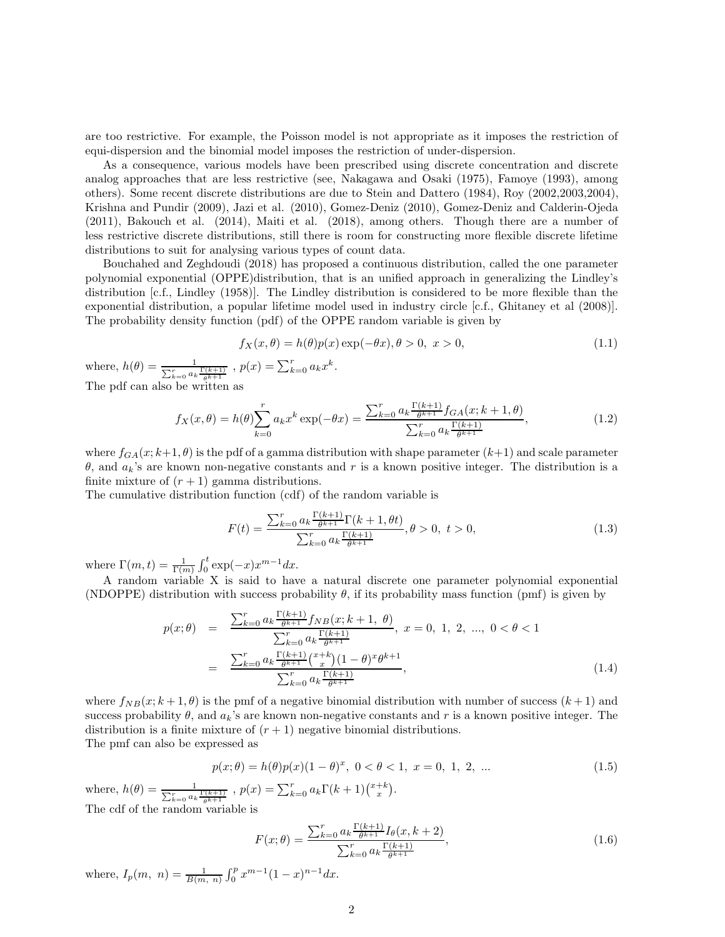are too restrictive. For example, the Poisson model is not appropriate as it imposes the restriction of equi-dispersion and the binomial model imposes the restriction of under-dispersion.

As a consequence, various models have been prescribed using discrete concentration and discrete analog approaches that are less restrictive (see, Nakagawa and Osaki (1975), Famoye (1993), among others). Some recent discrete distributions are due to Stein and Dattero (1984), Roy (2002,2003,2004), Krishna and Pundir (2009), Jazi et al. (2010), Gomez-Deniz (2010), Gomez-Deniz and Calderin-Ojeda (2011), Bakouch et al. (2014), Maiti et al. (2018), among others. Though there are a number of less restrictive discrete distributions, still there is room for constructing more flexible discrete lifetime distributions to suit for analysing various types of count data.

Bouchahed and Zeghdoudi (2018) has proposed a continuous distribution, called the one parameter polynomial exponential (OPPE)distribution, that is an unified approach in generalizing the Lindley's distribution [c.f., Lindley (1958)]. The Lindley distribution is considered to be more flexible than the exponential distribution, a popular lifetime model used in industry circle [c.f., Ghitaney et al (2008)]. The probability density function (pdf) of the OPPE random variable is given by

$$
f_X(x,\theta) = h(\theta)p(x)\exp(-\theta x), \theta > 0, \quad x > 0,
$$
\n(1.1)

where,  $h(\theta) = \frac{1}{\sum_{k=0}^{r} a_k \frac{\Gamma(k+1)}{\theta^{k+1}}}$ ,  $p(x) = \sum_{k=0}^{r} a_k x^k$ . The pdf can also be written as

$$
f_X(x,\theta) = h(\theta) \sum_{k=0}^r a_k x^k \exp(-\theta x) = \frac{\sum_{k=0}^r a_k \frac{\Gamma(k+1)}{\theta^{k+1}} f_{GA}(x;k+1,\theta)}{\sum_{k=0}^r a_k \frac{\Gamma(k+1)}{\theta^{k+1}}},
$$
(1.2)

where  $f_{GA}(x; k+1, \theta)$  is the pdf of a gamma distribution with shape parameter  $(k+1)$  and scale parameter θ, and  $a_k$ 's are known non-negative constants and r is a known positive integer. The distribution is a finite mixture of  $(r + 1)$  gamma distributions.

The cumulative distribution function (cdf) of the random variable is

$$
F(t) = \frac{\sum_{k=0}^{r} a_k \frac{\Gamma(k+1)}{\theta^{k+1}} \Gamma(k+1, \theta t)}{\sum_{k=0}^{r} a_k \frac{\Gamma(k+1)}{\theta^{k+1}}}, \theta > 0, \ t > 0,
$$
\n(1.3)

where  $\Gamma(m,t) = \frac{1}{\Gamma(m)} \int_0^t \exp(-x) x^{m-1} dx$ .

A random variable X is said to have a natural discrete one parameter polynomial exponential (NDOPPE) distribution with success probability  $\theta$ , if its probability mass function (pmf) is given by

$$
p(x; \theta) = \frac{\sum_{k=0}^{r} a_k \frac{\Gamma(k+1)}{\theta^{k+1}} f_{NB}(x; k+1, \theta)}{\sum_{k=0}^{r} a_k \frac{\Gamma(k+1)}{\theta^{k+1}}}, \ x = 0, 1, 2, ..., 0 < \theta < 1
$$

$$
= \frac{\sum_{k=0}^{r} a_k \frac{\Gamma(k+1)}{\theta^{k+1}} (x+k)(1-\theta)^x \theta^{k+1}}{\sum_{k=0}^{r} a_k \frac{\Gamma(k+1)}{\theta^{k+1}}}, \tag{1.4}
$$

where  $f_{NB}(x; k+1, \theta)$  is the pmf of a negative binomial distribution with number of success  $(k+1)$  and success probability  $\theta$ , and  $a_k$ 's are known non-negative constants and r is a known positive integer. The distribution is a finite mixture of  $(r + 1)$  negative binomial distributions. The pmf can also be expressed as

<span id="page-1-0"></span>
$$
p(x; \theta) = h(\theta)p(x)(1 - \theta)^x, \ 0 < \theta < 1, \ x = 0, \ 1, \ 2, \ \dots \tag{1.5}
$$

where,  $h(\theta) = \frac{1}{\sum_{k=0}^{r} a_k \frac{\Gamma(k+1)}{\theta^{k+1}}}$ ,  $p(x) = \sum_{k=0}^{r} a_k \Gamma(k+1) \binom{x+k}{x}$ . The cdf of the random variable is

$$
F(x; \theta) = \frac{\sum_{k=0}^{r} a_k \frac{\Gamma(k+1)}{\theta^{k+1}} I_{\theta}(x, k+2)}{\sum_{k=0}^{r} a_k \frac{\Gamma(k+1)}{\theta^{k+1}}},
$$
\n(1.6)

where,  $I_p(m, n) = \frac{1}{B(m, n)} \int_0^p x^{m-1} (1-x)^{n-1} dx$ .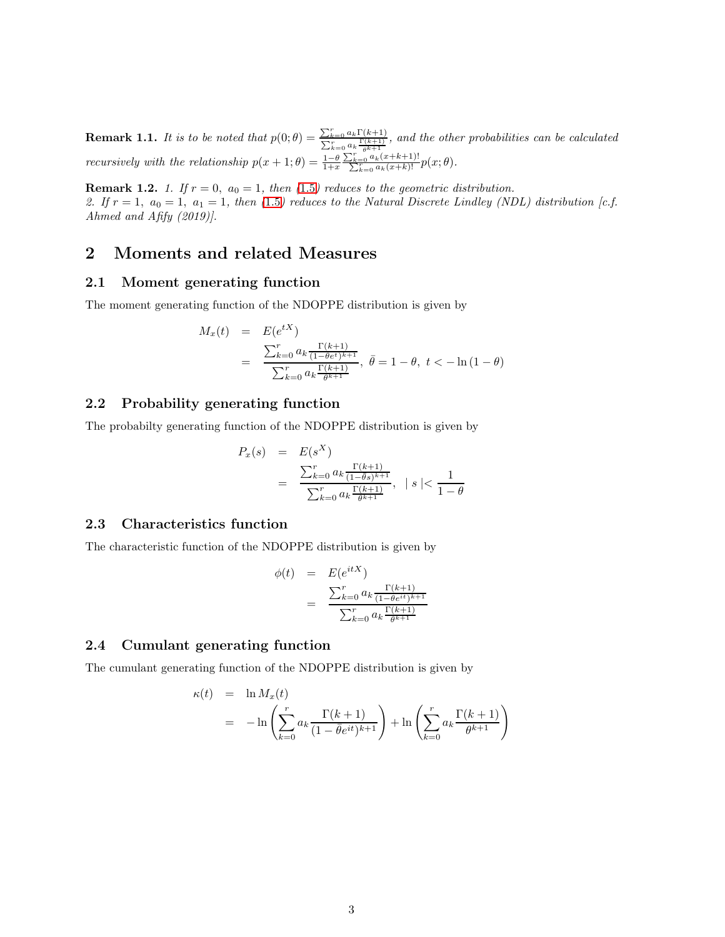**Remark 1.1.** *It is to be noted that*  $p(0;\theta) = \frac{\sum_{k=0}^{r} a_k \Gamma(k+1)}{\sum_{k=0}^{r} \Gamma(k+1)}$  $\frac{\sum_{k=0}^{k-1} a_k \Gamma(\kappa+1)}{\sum_{k=0}^{r} a_k \frac{\Gamma(k+1)}{b^k+1}},$  and the other probabilities can be calculated *recursively with the relationship*  $p(x+1;\theta) = \frac{1-\theta}{1+x}$  $\frac{\sum_{k=0}^{r} a_k(x+k+1)!}{\sum_{k=0}^{r} a_k(x+k)!} p(x; \theta)$ .

**Remark 1.2.** *1. If*  $r = 0$ ,  $a_0 = 1$ , then (1.[5](#page-1-0)) reduces to the geometric distribution. 2. If  $r = 1$  $r = 1$ ,  $a_0 = 1$ ,  $a_1 = 1$ , then (1.5) reduces to the Natural Discrete Lindley (NDL) distribution [c.f. *Ahmed and Afify (2019)].*

## 2 Moments and related Measures

#### 2.1 Moment generating function

The moment generating function of the NDOPPE distribution is given by

$$
M_x(t) = E(e^{tX})
$$
  
= 
$$
\frac{\sum_{k=0}^{r} a_k \frac{\Gamma(k+1)}{(1-\theta e^t)^{k+1}}}{\sum_{k=0}^{r} a_k \frac{\Gamma(k+1)}{\theta^{k+1}}}, \overline{\theta} = 1 - \theta, t < -\ln(1 - \theta)
$$

### 2.2 Probability generating function

The probabilty generating function of the NDOPPE distribution is given by

$$
P_x(s) = E(s^X)
$$
  
= 
$$
\frac{\sum_{k=0}^{r} a_k \frac{\Gamma(k+1)}{(1-\theta s)^{k+1}}}{\sum_{k=0}^{r} a_k \frac{\Gamma(k+1)}{\theta^{k+1}}}, \quad |s| < \frac{1}{1-\theta}
$$

### 2.3 Characteristics function

The characteristic function of the NDOPPE distribution is given by

$$
\begin{array}{rcl} \phi(t) & = & E(e^{itX}) \\ & = & \frac{\sum_{k=0}^{r} a_k \frac{\Gamma(k+1)}{(1-\hat{\theta}e^{it})^{k+1}}}{\sum_{k=0}^{r} a_k \frac{\Gamma(k+1)}{\theta^{k+1}}} \end{array}
$$

### 2.4 Cumulant generating function

The cumulant generating function of the NDOPPE distribution is given by

$$
\kappa(t) = \ln M_x(t)
$$
  
= 
$$
-\ln\left(\sum_{k=0}^r a_k \frac{\Gamma(k+1)}{(1-\bar{\theta}e^{it})^{k+1}}\right) + \ln\left(\sum_{k=0}^r a_k \frac{\Gamma(k+1)}{\theta^{k+1}}\right)
$$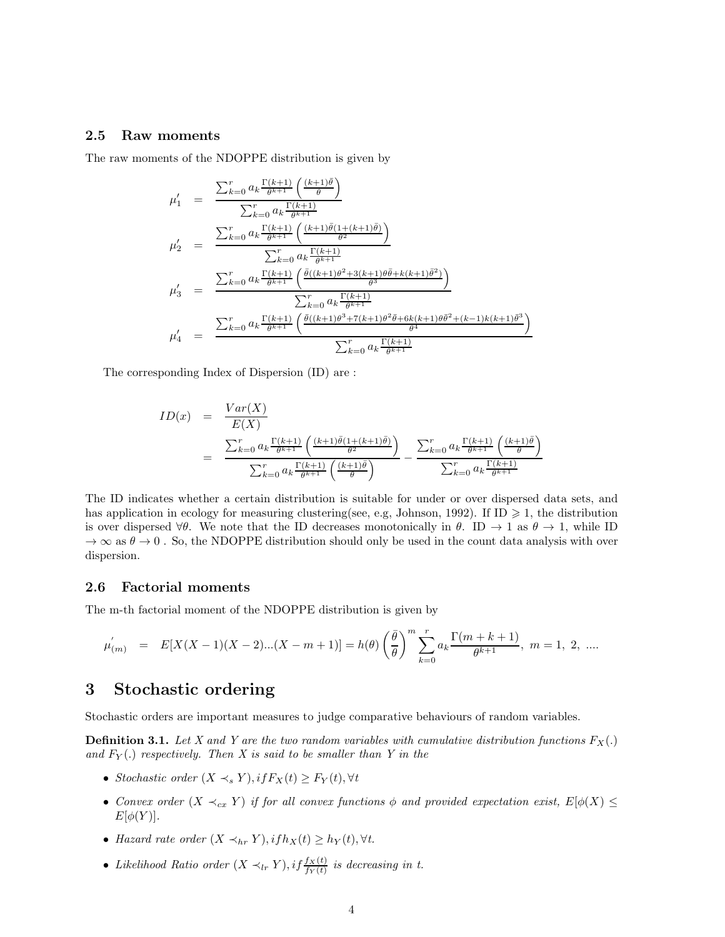### 2.5 Raw moments

The raw moments of the NDOPPE distribution is given by

$$
\mu'_{1} = \frac{\sum_{k=0}^{r} a_{k} \frac{\Gamma(k+1)}{\theta^{k+1}} \left(\frac{(k+1)\bar{\theta}}{\theta}\right)}{\sum_{k=0}^{r} a_{k} \frac{\Gamma(k+1)}{\theta^{k+1}}}
$$
\n
$$
\mu'_{2} = \frac{\sum_{k=0}^{r} a_{k} \frac{\Gamma(k+1)}{\theta^{k+1}} \left(\frac{(k+1)\bar{\theta}(1+(k+1)\bar{\theta})}{\theta^{2}}\right)}{\sum_{k=0}^{r} a_{k} \frac{\Gamma(k+1)}{\theta^{k+1}}}
$$
\n
$$
\mu'_{3} = \frac{\sum_{k=0}^{r} a_{k} \frac{\Gamma(k+1)}{\theta^{k+1}} \left(\frac{\bar{\theta}((k+1)\theta^{2}+3(k+1)\theta\bar{\theta}+k(k+1)\bar{\theta}^{2})}{\theta^{3}}\right)}{\sum_{k=0}^{r} a_{k} \frac{\Gamma(k+1)}{\theta^{k+1}}}
$$
\n
$$
\mu'_{4} = \frac{\sum_{k=0}^{r} a_{k} \frac{\Gamma(k+1)}{\theta^{k+1}} \left(\frac{\bar{\theta}((k+1)\theta^{3}+7(k+1)\theta^{2}\bar{\theta}+6k(k+1)\theta\bar{\theta}^{2}+(k-1)k(k+1)\bar{\theta}^{3}}{\theta^{4}}\right)}{\sum_{k=0}^{r} a_{k} \frac{\Gamma(k+1)}{\theta^{k+1}}}
$$

The corresponding Index of Dispersion (ID) are :

$$
ID(x) = \frac{Var(X)}{E(X)}
$$
  
= 
$$
\frac{\sum_{k=0}^{r} a_k \frac{\Gamma(k+1)}{\theta^{k+1}} \left( \frac{(k+1)\bar{\theta}(1+(k+1)\bar{\theta})}{\theta^2} \right)}{\sum_{k=0}^{r} a_k \frac{\Gamma(k+1)}{\theta^{k+1}} \left( \frac{(k+1)\bar{\theta}}{\theta} \right)} - \frac{\sum_{k=0}^{r} a_k \frac{\Gamma(k+1)}{\theta^{k+1}} \left( \frac{(k+1)\bar{\theta}}{\theta} \right)}{\sum_{k=0}^{r} a_k \frac{\Gamma(k+1)}{\theta^{k+1}}}
$$

The ID indicates whether a certain distribution is suitable for under or over dispersed data sets, and has application in ecology for measuring clustering(see, e.g, Johnson, 1992). If ID  $\geq$  1, the distribution is over dispersed  $\forall \theta$ . We note that the ID decreases monotonically in  $\theta$ . ID  $\rightarrow$  1 as  $\theta \rightarrow 1$ , while ID  $\rightarrow \infty$  as  $\theta \rightarrow 0$ . So, the NDOPPE distribution should only be used in the count data analysis with over dispersion.

### 2.6 Factorial moments

The m-th factorial moment of the NDOPPE distribution is given by

$$
\mu^{'}_{(m)} \quad = \quad E[X(X-1)(X-2)...(X-m+1)] = h(\theta) \left(\frac{\bar{\theta}}{\theta}\right)^m \sum_{k=0}^r a_k \frac{\Gamma(m+k+1)}{\theta^{k+1}}, \ m = 1, \ 2, \ \ldots
$$

## 3 Stochastic ordering

Stochastic orders are important measures to judge comparative behaviours of random variables.

**Definition 3.1.** Let X and Y are the two random variables with cumulative distribution functions  $F_X(.)$ and  $F_Y(.)$  respectively. Then X is said to be smaller than Y in the

- *Stochastic order*  $(X \prec_s Y), if F_X(t) \geq F_Y(t), \forall t$
- *Convex order*  $(X \prec_{cx} Y)$  *if for all convex functions*  $\phi$  *and provided expectation exist,*  $E[\phi(X)] \le$  $E[\phi(Y)].$
- *Hazard rate order*  $(X \prec_{hr} Y), if h_X(t) \ge h_Y(t), \forall t$ .
- *Likelihood Ratio order*  $(X \prec_{lr} Y), if \frac{f_X(t)}{f_Y(t)}$  is decreasing in t.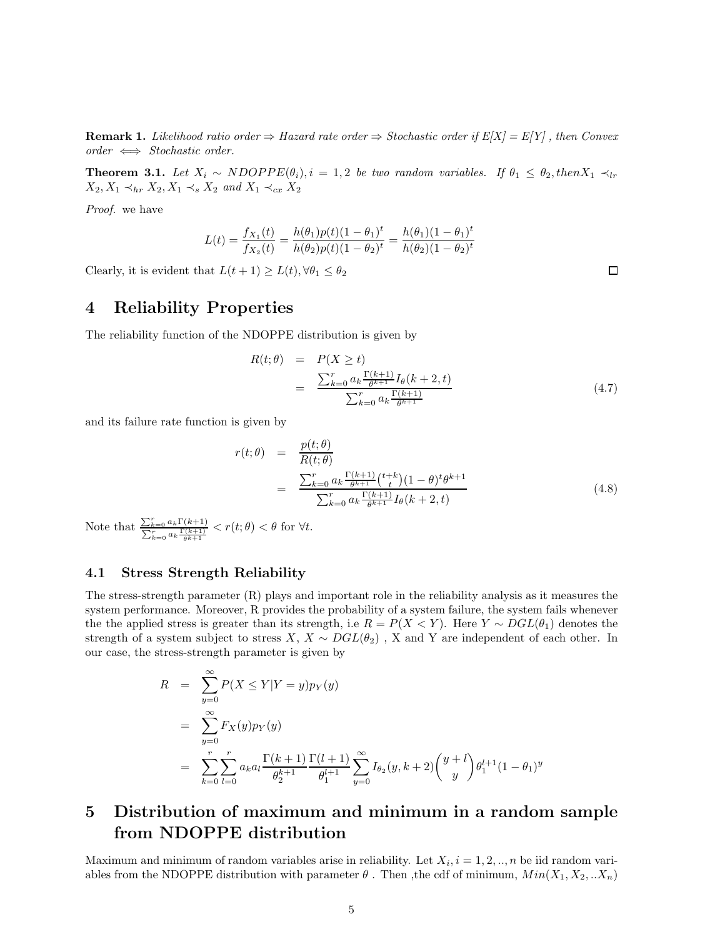**Remark 1.** *Likelihood ratio order*  $\Rightarrow$  *Hazard rate order*  $\Rightarrow$  *Stochastic order if*  $E[X] = E[Y]$ , *then Convex order* ⇐⇒ *Stochastic order.*

**Theorem 3.1.** Let  $X_i \sim NDOPPE(\theta_i), i = 1, 2$  be two random variables. If  $\theta_1 \leq \theta_2$ , then  $X_1 \prec_{lr}$  $X_2, X_1 \prec_{hr} X_2, X_1 \prec_s X_2$  *and*  $X_1 \prec_{cx} X_2$ 

*Proof.* we have

$$
L(t) = \frac{f_{X_1}(t)}{f_{X_2}(t)} = \frac{h(\theta_1)p(t)(1-\theta_1)^t}{h(\theta_2)p(t)(1-\theta_2)^t} = \frac{h(\theta_1)(1-\theta_1)^t}{h(\theta_2)(1-\theta_2)^t}
$$

Clearly, it is evident that  $L(t + 1) \ge L(t)$ ,  $\forall \theta_1 \le \theta_2$ 

## 4 Reliability Properties

The reliability function of the NDOPPE distribution is given by

$$
R(t; \theta) = P(X \ge t)
$$
  
= 
$$
\frac{\sum_{k=0}^{r} a_k \frac{\Gamma(k+1)}{\theta^{k+1}} I_{\theta}(k+2, t)}{\sum_{k=0}^{r} a_k \frac{\Gamma(k+1)}{\theta^{k+1}}}
$$
 (4.7)

and its failure rate function is given by

$$
r(t; \theta) = \frac{p(t; \theta)}{R(t; \theta)}
$$
  
= 
$$
\frac{\sum_{k=0}^{r} a_k \frac{\Gamma(k+1)}{\theta^{k+1}} (t+k) (1-\theta)^t \theta^{k+1}}{\sum_{k=0}^{r} a_k \frac{\Gamma(k+1)}{\theta^{k+1}} I_{\theta}(k+2, t)}
$$
(4.8)

Note that  $\frac{\sum_{k=0}^{r} a_k \Gamma(k+1)}{\sum_{r} \Gamma(k+1)}$  $\frac{\sum_{k=0} a_k \Gamma(k+1)}{\sum_{k=0}^r a_k \frac{\Gamma(k+1)}{\theta k+1}} < r(t; \theta) < \theta$  for  $\forall t$ .

### 4.1 Stress Strength Reliability

The stress-strength parameter (R) plays and important role in the reliability analysis as it measures the system performance. Moreover, R provides the probability of a system failure, the system fails whenever the the applied stress is greater than its strength, i.e  $R = P(X \le Y)$ . Here  $Y \sim DGL(\theta_1)$  denotes the strength of a system subject to stress  $X, X \sim DGL(\theta_2)$ , X and Y are independent of each other. In our case, the stress-strength parameter is given by

$$
R = \sum_{y=0}^{\infty} P(X \le Y | Y = y) p_Y(y)
$$
  
= 
$$
\sum_{y=0}^{\infty} F_X(y) p_Y(y)
$$
  
= 
$$
\sum_{k=0}^{r} \sum_{l=0}^{r} a_k a_l \frac{\Gamma(k+1)}{\theta_2^{k+1}} \frac{\Gamma(l+1)}{\theta_1^{l+1}} \sum_{y=0}^{\infty} I_{\theta_2}(y, k+2) {y + l \choose y} \theta_1^{l+1} (1 - \theta_1)^y
$$

## 5 Distribution of maximum and minimum in a random sample from NDOPPE distribution

Maximum and minimum of random variables arise in reliability. Let  $X_i$ ,  $i = 1, 2, ..., n$  be iid random variables from the NDOPPE distribution with parameter  $\theta$ . Then , the cdf of minimum,  $Min(X_1, X_2, ...X_n)$ 

□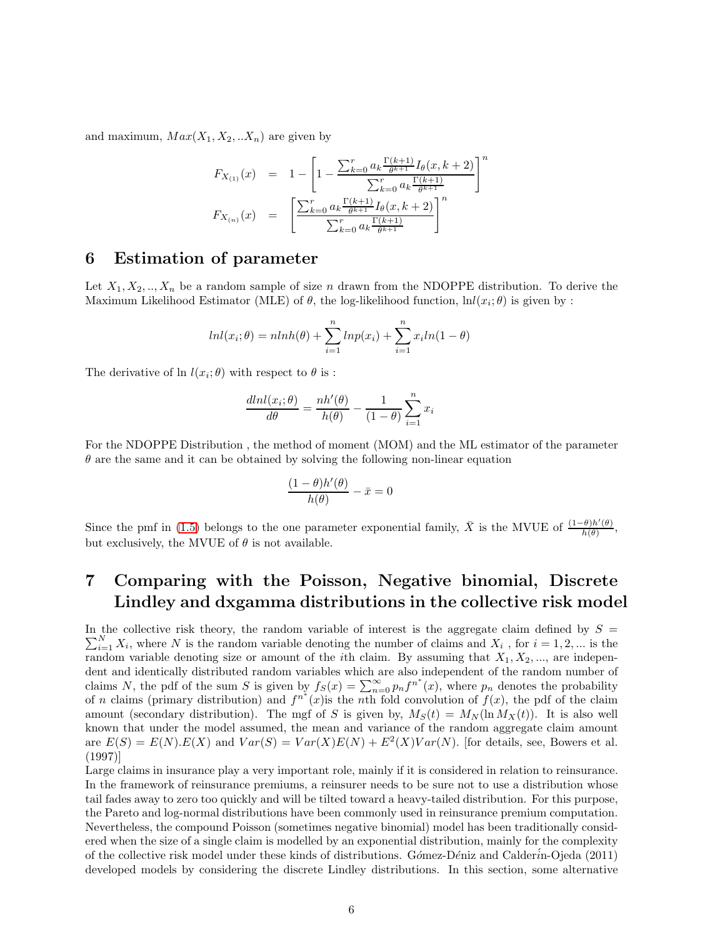and maximum,  $Max(X_1, X_2, ... X_n)$  are given by

$$
F_{X_{(1)}}(x) = 1 - \left[1 - \frac{\sum_{k=0}^{r} a_k \frac{\Gamma(k+1)}{\theta^{k+1}} I_{\theta}(x, k+2)}{\sum_{k=0}^{r} a_k \frac{\Gamma(k+1)}{\theta^{k+1}}}\right]^n
$$
  

$$
F_{X_{(n)}}(x) = \left[\frac{\sum_{k=0}^{r} a_k \frac{\Gamma(k+1)}{\theta^{k+1}} I_{\theta}(x, k+2)}{\sum_{k=0}^{r} a_k \frac{\Gamma(k+1)}{\theta^{k+1}}}\right]^n
$$

## 6 Estimation of parameter

Let  $X_1, X_2, ..., X_n$  be a random sample of size n drawn from the NDOPPE distribution. To derive the Maximum Likelihood Estimator (MLE) of  $\theta$ , the log-likelihood function,  $\text{ln}(x_i; \theta)$  is given by :

$$
lnl(x_i; \theta) = nlnh(\theta) + \sum_{i=1}^{n} lnp(x_i) + \sum_{i=1}^{n} x_i ln(1 - \theta)
$$

The derivative of  $\ln l(x_i; \theta)$  with respect to  $\theta$  is :

$$
\frac{dlnl(x_i; \theta)}{d\theta} = \frac{nh'(\theta)}{h(\theta)} - \frac{1}{(1-\theta)} \sum_{i=1}^{n} x_i
$$

For the NDOPPE Distribution , the method of moment (MOM) and the ML estimator of the parameter  $\theta$  are the same and it can be obtained by solving the following non-linear equation

$$
\frac{(1-\theta)h'(\theta)}{h(\theta)} - \bar{x} = 0
$$

Since the pmf in [\(1](#page-1-0).5) belongs to the one parameter exponential family,  $\bar{X}$  is the MVUE of  $\frac{(1-\theta)h'(\theta)}{h(\theta)}$  $\frac{\partial (h(\theta))}{h(\theta)},$ but exclusively, the MVUE of  $\theta$  is not available.

# 7 Comparing with the Poisson, Negative binomial, Discrete Lindley and dxgamma distributions in the collective risk model

 $\sum_{i=1}^{N} X_i$ , where N is the random variable denoting the number of claims and  $X_i$ , for  $i = 1, 2, ...$  is the In the collective risk theory, the random variable of interest is the aggregate claim defined by  $S =$ random variable denoting size or amount of the *i*th claim. By assuming that  $X_1, X_2, \ldots$ , are independent and identically distributed random variables which are also independent of the random number of claims N, the pdf of the sum S is given by  $f_S(x) = \sum_{n=0}^{\infty} p_n f^{n^*}(x)$ , where  $p_n$  denotes the probability of n claims (primary distribution) and  $f^{n^*}(x)$  is the nth fold convolution of  $f(x)$ , the pdf of the claim amount (secondary distribution). The mgf of S is given by,  $M_S(t) = M_N(\ln M_X(t))$ . It is also well known that under the model assumed, the mean and variance of the random aggregate claim amount are  $E(S) = E(N)E(X)$  and  $Var(S) = Var(X)E(N) + E^{2}(X)Var(N)$ . [for details, see, Bowers et al. (1997)]

Large claims in insurance play a very important role, mainly if it is considered in relation to reinsurance. In the framework of reinsurance premiums, a reinsurer needs to be sure not to use a distribution whose tail fades away to zero too quickly and will be tilted toward a heavy-tailed distribution. For this purpose, the Pareto and log-normal distributions have been commonly used in reinsurance premium computation. Nevertheless, the compound Poisson (sometimes negative binomial) model has been traditionally considered when the size of a single claim is modelled by an exponential distribution, mainly for the complexity of the collective risk model under these kinds of distributions. Gómez-Déniz and Calderin-Ojeda (2011) developed models by considering the discrete Lindley distributions. In this section, some alternative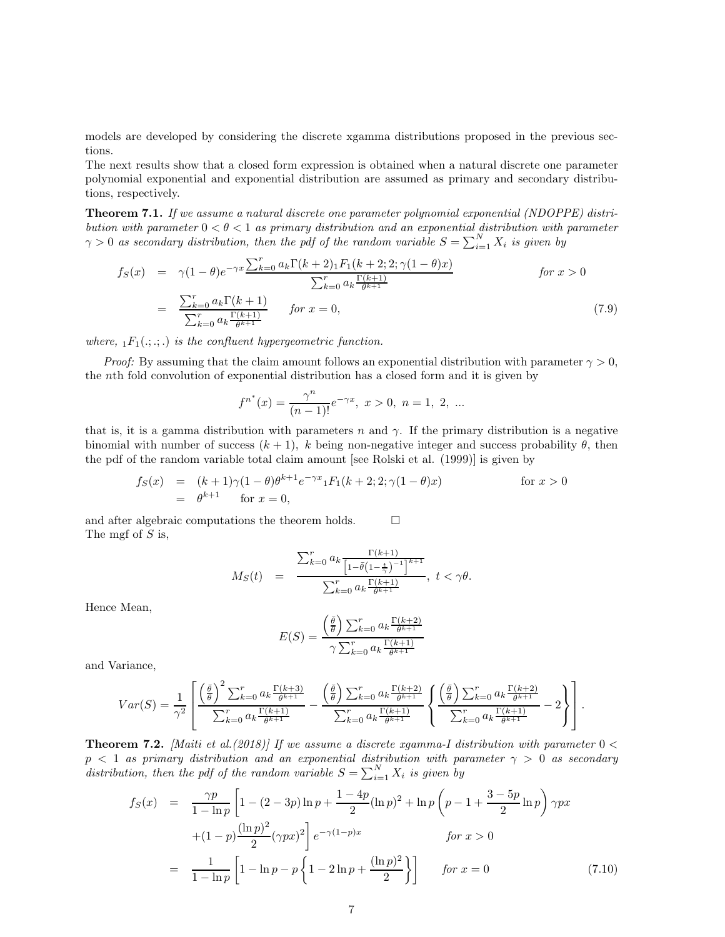models are developed by considering the discrete xgamma distributions proposed in the previous sections.

The next results show that a closed form expression is obtained when a natural discrete one parameter polynomial exponential and exponential distribution are assumed as primary and secondary distributions, respectively.

Theorem 7.1. *If we assume a natural discrete one parameter polynomial exponential (NDOPPE) distribution with parameter* 0 < θ < 1 *as primary distribution and an exponential distribution with parameter*  $\gamma > 0$  as secondary distribution, then the pdf of the random variable  $S = \sum_{i=1}^{N} X_i$  is given by

<span id="page-6-0"></span>
$$
f_S(x) = \gamma (1 - \theta) e^{-\gamma x} \frac{\sum_{k=0}^{r} a_k \Gamma(k+2) \cdot 1 F_1(k+2; 2; \gamma (1 - \theta) x)}{\sum_{k=0}^{r} a_k \frac{\Gamma(k+1)}{\theta^{k+1}}} \qquad \text{for } x > 0
$$

$$
= \frac{\sum_{k=0}^{r} a_k \Gamma(k+1)}{\sum_{k=0}^{r} a_k \frac{\Gamma(k+1)}{\theta^{k+1}}} \qquad \text{for } x = 0,
$$
(7.9)

*where,*  $_1F_1(.; \ldots)$  *is the confluent hypergeometric function.* 

*Proof:* By assuming that the claim amount follows an exponential distribution with parameter  $\gamma > 0$ , the nth fold convolution of exponential distribution has a closed form and it is given by

$$
f^{n^*}(x) = \frac{\gamma^n}{(n-1)!} e^{-\gamma x}, \ x > 0, \ n = 1, \ 2, \ \dots
$$

that is, it is a gamma distribution with parameters n and  $\gamma$ . If the primary distribution is a negative binomial with number of success  $(k + 1)$ , k being non-negative integer and success probability  $\theta$ , then the pdf of the random variable total claim amount [see Rolski et al. (1999)] is given by

$$
f_S(x) = (k+1)\gamma(1-\theta)\theta^{k+1}e^{-\gamma x}{}_1F_1(k+2;2;\gamma(1-\theta)x)
$$
 for  $x > 0$   
=  $\theta^{k+1}$  for  $x = 0$ ,

and after algebraic computations the theorem holds.  $\Box$ The mgf of  $S$  is,

$$
M_S(t) = \frac{\sum_{k=0}^r a_k \frac{\Gamma(k+1)}{\left[1 - \bar{\theta}\left(1 - \frac{t}{\gamma}\right)^{-1}\right]^{k+1}}}{\sum_{k=0}^r a_k \frac{\Gamma(k+1)}{\theta^{k+1}}}, \ t < \gamma \theta.
$$

Hence Mean,

$$
E(S) = \frac{\left(\frac{\bar{\theta}}{\theta}\right) \sum_{k=0}^{r} a_k \frac{\Gamma(k+2)}{\theta^{k+1}}}{\gamma \sum_{k=0}^{r} a_k \frac{\Gamma(k+1)}{\theta^{k+1}}}
$$

and Variance,

$$
Var(S) = \frac{1}{\gamma^2} \left[ \frac{\left(\frac{\bar{\theta}}{\theta}\right)^2 \sum_{k=0}^r a_k \frac{\Gamma(k+3)}{\theta^{k+1}}}{\sum_{k=0}^r a_k \frac{\Gamma(k+1)}{\theta^{k+1}}} - \frac{\left(\frac{\bar{\theta}}{\theta}\right) \sum_{k=0}^r a_k \frac{\Gamma(k+2)}{\theta^{k+1}}}{\sum_{k=0}^r a_k \frac{\Gamma(k+1)}{\theta^{k+1}}} \left\{ \frac{\left(\frac{\bar{\theta}}{\theta}\right) \sum_{k=0}^r a_k \frac{\Gamma(k+2)}{\theta^{k+1}}}{\sum_{k=0}^r a_k \frac{\Gamma(k+1)}{\theta^{k+1}}} - 2 \right\} \right].
$$

**Theorem 7.2.** *[Maiti et al.(2018)] If we assume a discrete xgamma-I distribution with parameter*  $0 <$  $p < 1$  *as primary distribution and an exponential distribution with parameter*  $\gamma > 0$  *as secondary* distribution, then the pdf of the random variable  $S = \sum_{i=1}^{N} X_i$  is given by

$$
f_S(x) = \frac{\gamma p}{1 - \ln p} \left[ 1 - (2 - 3p) \ln p + \frac{1 - 4p}{2} (\ln p)^2 + \ln p \left( p - 1 + \frac{3 - 5p}{2} \ln p \right) \gamma p x + (1 - p) \frac{(\ln p)^2}{2} (\gamma p x)^2 \right] e^{-\gamma (1 - p)x} \qquad \text{for } x > 0
$$

$$
= \frac{1}{1 - \ln p} \left[ 1 - \ln p - p \left\{ 1 - 2 \ln p + \frac{(\ln p)^2}{2} \right\} \right] \qquad \text{for } x = 0 \tag{7.10}
$$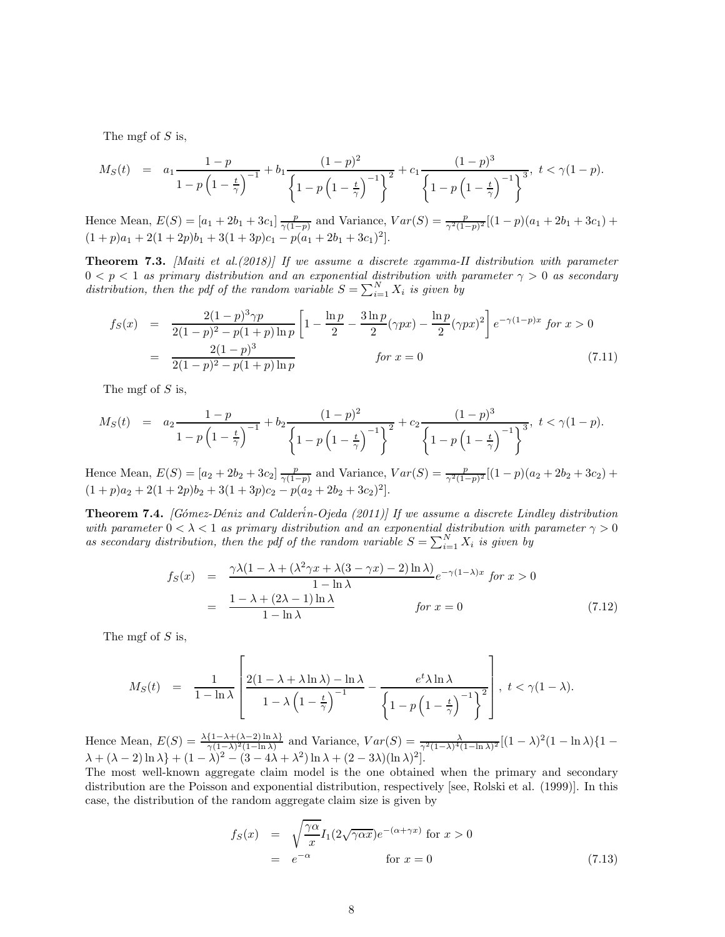The mgf of  $S$  is,

$$
M_S(t) = a_1 \frac{1-p}{1-p\left(1-\frac{t}{\gamma}\right)^{-1}} + b_1 \frac{(1-p)^2}{\left\{1-p\left(1-\frac{t}{\gamma}\right)^{-1}\right\}^2} + c_1 \frac{(1-p)^3}{\left\{1-p\left(1-\frac{t}{\gamma}\right)^{-1}\right\}^3}, \ t < \gamma(1-p).
$$

Hence Mean,  $E(S) = [a_1 + 2b_1 + 3c_1] \frac{p}{\gamma(1-p)}$  and Variance,  $Var(S) = \frac{p}{\gamma^2(1-p)^2}[(1-p)(a_1 + 2b_1 + 3c_1) +$  $(1+p)a_1 + 2(1+2p)b_1 + 3(1+3p)c_1 - p(a_1+2b_1+3c_1)^2$ .

Theorem 7.3. *[Maiti et al.(2018)] If we assume a discrete xgamma-II distribution with parameter*  $0 < p < 1$  *as primary distribution and an exponential distribution with parameter*  $\gamma > 0$  *as secondary* distribution, then the pdf of the random variable  $S = \sum_{i=1}^{N} X_i$  is given by

$$
f_S(x) = \frac{2(1-p)^3 \gamma p}{2(1-p)^2 - p(1+p)\ln p} \left[ 1 - \frac{\ln p}{2} - \frac{3\ln p}{2} (\gamma px) - \frac{\ln p}{2} (\gamma px)^2 \right] e^{-\gamma (1-p)x} \text{ for } x > 0
$$
  
= 
$$
\frac{2(1-p)^3}{2(1-p)^2 - p(1+p)\ln p} \qquad \text{for } x = 0 \tag{7.11}
$$

The mgf of  $S$  is,

$$
M_S(t) = a_2 \frac{1-p}{1-p\left(1-\frac{t}{\gamma}\right)^{-1}} + b_2 \frac{(1-p)^2}{\left\{1-p\left(1-\frac{t}{\gamma}\right)^{-1}\right\}^2} + c_2 \frac{(1-p)^3}{\left\{1-p\left(1-\frac{t}{\gamma}\right)^{-1}\right\}^3}, \ t < \gamma(1-p).
$$

Hence Mean,  $E(S) = [a_2 + 2b_2 + 3c_2] \frac{p}{\gamma(1-p)}$  and Variance,  $Var(S) = \frac{p}{\gamma^2(1-p)^2}[(1-p)(a_2 + 2b_2 + 3c_2) +$  $(1+p)a_2 + 2(1+2p)b_2 + 3(1+3p)c_2 - p(a_2+2b_2+3c_2)^2$ .

Theorem 7.4. *[G*o´*mez-D*e´*niz and Calder*´i*n-Ojeda (2011)] If we assume a discrete Lindley distribution with parameter*  $0 < \lambda < 1$  *as primary distribution and an exponential distribution with parameter*  $\gamma > 0$ as secondary distribution, then the pdf of the random variable  $S = \sum_{i=1}^{N} X_i$  is given by

$$
f_S(x) = \frac{\gamma \lambda (1 - \lambda + (\lambda^2 \gamma x + \lambda (3 - \gamma x) - 2) \ln \lambda)}{1 - \ln \lambda} e^{-\gamma (1 - \lambda)x} \text{ for } x > 0
$$
  
= 
$$
\frac{1 - \lambda + (2\lambda - 1) \ln \lambda}{1 - \ln \lambda} \text{ for } x = 0
$$
 (7.12)

The mgf of  $S$  is,

$$
M_S(t) = \frac{1}{1-\ln\lambda} \left[ \frac{2(1-\lambda+\lambda\ln\lambda)-\ln\lambda}{1-\lambda\left(1-\frac{t}{\gamma}\right)^{-1}} - \frac{e^t\lambda\ln\lambda}{\left\{1-p\left(1-\frac{t}{\gamma}\right)^{-1}\right\}^2} \right], \ t < \gamma(1-\lambda).
$$

Hence Mean,  $E(S) = \frac{\lambda \{1-\lambda+(\lambda-2)\ln \lambda\}}{\gamma(1-\lambda)^2(1-\ln \lambda)}$  and Variance,  $Var(S) = \frac{\lambda}{\gamma^2(1-\lambda)^4(1-\ln \lambda)^2}[(1-\lambda)^2(1-\ln \lambda)\{1-\lambda\}$  $\lambda + (\lambda - 2) \ln \lambda + (1 - \lambda)^2 - (3 - 4\lambda + \lambda^2) \ln \lambda + (2 - 3\lambda)(\ln \lambda)^2$ .

The most well-known aggregate claim model is the one obtained when the primary and secondary distribution are the Poisson and exponential distribution, respectively [see, Rolski et al. (1999)]. In this case, the distribution of the random aggregate claim size is given by

$$
f_S(x) = \sqrt{\frac{\gamma \alpha}{x}} I_1(2\sqrt{\gamma \alpha x}) e^{-(\alpha + \gamma x)} \text{ for } x > 0
$$
  
=  $e^{-\alpha}$  for  $x = 0$  (7.13)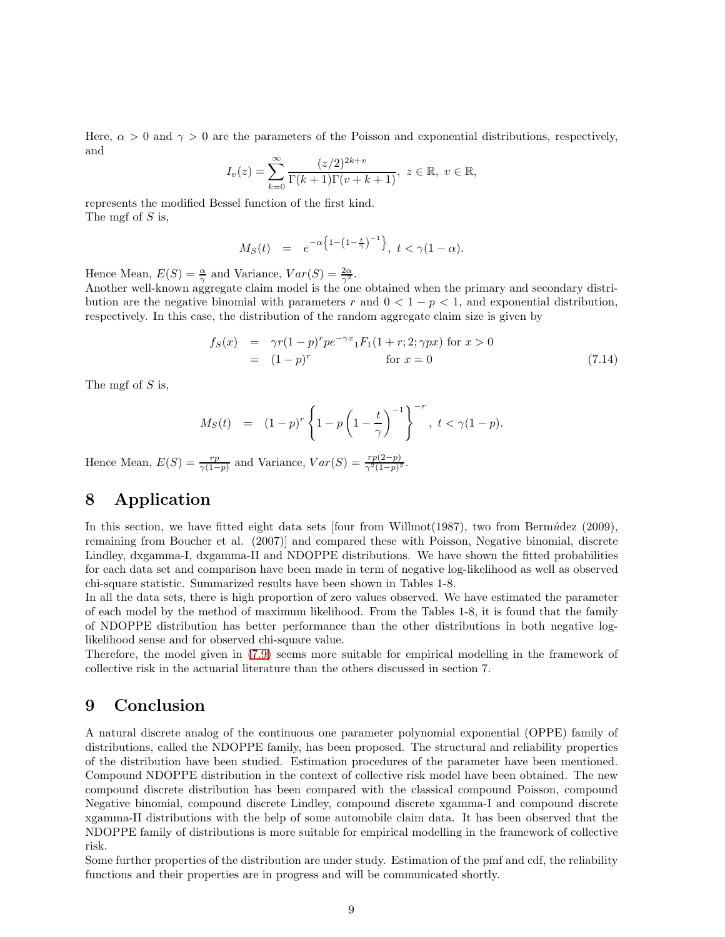Here,  $\alpha > 0$  and  $\gamma > 0$  are the parameters of the Poisson and exponential distributions, respectively, and

$$
I_{v}(z) = \sum_{k=0}^{\infty} \frac{(z/2)^{2k+v}}{\Gamma(k+1)\Gamma(v+k+1)}, \ z \in \mathbb{R}, \ v \in \mathbb{R},
$$

represents the modified Bessel function of the first kind. The mgf of  $S$  is,

$$
M_S(t) = e^{-\alpha \left\{ 1 - \left(1 - \frac{t}{\gamma}\right)^{-1} \right\}}, \ t < \gamma(1 - \alpha).
$$

Hence Mean,  $E(S) = \frac{\alpha}{\gamma}$  and Variance,  $Var(S) = \frac{2\alpha}{\gamma^2}$ .

Another well-known aggregate claim model is the one obtained when the primary and secondary distribution are the negative binomial with parameters r and  $0 < 1 - p < 1$ , and exponential distribution, respectively. In this case, the distribution of the random aggregate claim size is given by

$$
f_S(x) = \gamma r (1 - p)^r p e^{-\gamma x} {}_1F_1(1 + r; 2; \gamma px) \text{ for } x > 0
$$
  
=  $(1 - p)^r$  for  $x = 0$  (7.14)

The mgf of  $S$  is,

$$
M_S(t) = (1-p)^r \left\{ 1 - p \left( 1 - \frac{t}{\gamma} \right)^{-1} \right\}^{-r}, \ t < \gamma (1-p).
$$

Hence Mean,  $E(S) = \frac{rp}{\gamma(1-p)}$  and Variance,  $Var(S) = \frac{rp(2-p)}{\gamma^2(1-p)^2}$ .

## 8 Application

In this section, we have fitted eight data sets  $[four from Willmot(1987), two from Bern\'udez (2009),]$ remaining from Boucher et al. (2007)] and compared these with Poisson, Negative binomial, discrete Lindley, dxgamma-I, dxgamma-II and NDOPPE distributions. We have shown the fitted probabilities for each data set and comparison have been made in term of negative log-likelihood as well as observed chi-square statistic. Summarized results have been shown in Tables 1-8.

In all the data sets, there is high proportion of zero values observed. We have estimated the parameter of each model by the method of maximum likelihood. From the Tables 1-8, it is found that the family of NDOPPE distribution has better performance than the other distributions in both negative loglikelihood sense and for observed chi-square value.

Therefore, the model given in (7.[9\)](#page-6-0) seems more suitable for empirical modelling in the framework of collective risk in the actuarial literature than the others discussed in section 7.

## 9 Conclusion

A natural discrete analog of the continuous one parameter polynomial exponential (OPPE) family of distributions, called the NDOPPE family, has been proposed. The structural and reliability properties of the distribution have been studied. Estimation procedures of the parameter have been mentioned. Compound NDOPPE distribution in the context of collective risk model have been obtained. The new compound discrete distribution has been compared with the classical compound Poisson, compound Negative binomial, compound discrete Lindley, compound discrete xgamma-I and compound discrete xgamma-II distributions with the help of some automobile claim data. It has been observed that the NDOPPE family of distributions is more suitable for empirical modelling in the framework of collective risk.

Some further properties of the distribution are under study. Estimation of the pmf and cdf, the reliability functions and their properties are in progress and will be communicated shortly.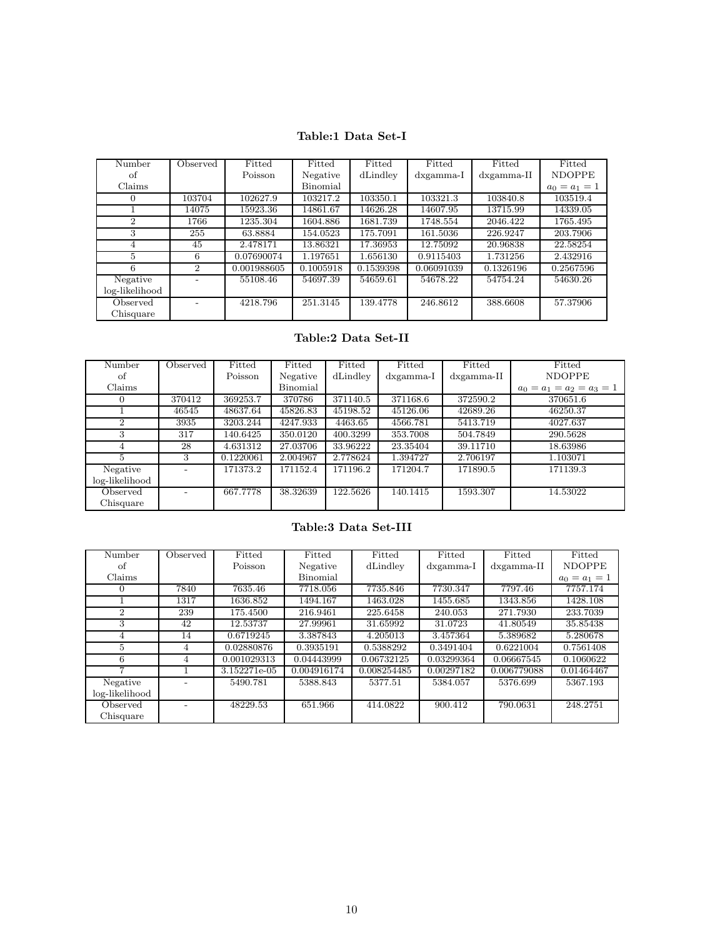### Table:1 Data Set-I

| Number         | Observed       | Fitted      | Fitted    | Fitted    | Fitted       | Fitted              | Fitted          |
|----------------|----------------|-------------|-----------|-----------|--------------|---------------------|-----------------|
| οf             |                | Poisson     | Negative  | dLindley  | $dx$ gamma-I | $dx\text{gamma-II}$ | <b>NDOPPE</b>   |
| Claims         |                |             | Binomial  |           |              |                     | $a_0 = a_1 = 1$ |
| $\Omega$       | 103704         | 102627.9    | 103217.2  | 103350.1  | 103321.3     | 103840.8            | 103519.4        |
|                | 14075          | 15923.36    | 14861.67  | 14626.28  | 14607.95     | 13715.99            | 14339.05        |
| $\overline{2}$ | 1766           | 1235.304    | 1604.886  | 1681.739  | 1748.554     | 2046.422            | 1765.495        |
| 3              | 255            | 63.8884     | 154.0523  | 175.7091  | 161.5036     | 226.9247            | 203.7906        |
| 4              | 45             | 2.478171    | 13.86321  | 17.36953  | 12.75092     | 20.96838            | 22.58254        |
| 5              | 6              | 0.07690074  | 1.197651  | 1.656130  | 0.9115403    | 1.731256            | 2.432916        |
| 6              | $\overline{2}$ | 0.001988605 | 0.1005918 | 0.1539398 | 0.06091039   | 0.1326196           | 0.2567596       |
| Negative       |                | 55108.46    | 54697.39  | 54659.61  | 54678.22     | 54754.24            | 54630.26        |
| log-likelihood |                |             |           |           |              |                     |                 |
| Observed       |                | 4218.796    | 251.3145  | 139.4778  | 246.8612     | 388.6608            | 57.37906        |
| Chisquare      |                |             |           |           |              |                     |                 |

## Table:2 Data Set-II

| Number         | Observed | Fitted    | Fitted   | Fitted   | Fitted       | Fitted              | Fitted                      |
|----------------|----------|-----------|----------|----------|--------------|---------------------|-----------------------------|
| οf             |          | Poisson   | Negative | dLindley | $dx$ gamma-I | $dx\text{gamma-II}$ | <b>NDOPPE</b>               |
| Claims         |          |           | Binomial |          |              |                     | $a_0 = a_1 = a_2 = a_3 = 1$ |
|                | 370412   | 369253.7  | 370786   | 371140.5 | 371168.6     | 372590.2            | 370651.6                    |
|                | 46545    | 48637.64  | 45826.83 | 45198.52 | 45126.06     | 42689.26            | 46250.37                    |
| $\overline{2}$ | 3935     | 3203.244  | 4247.933 | 4463.65  | 4566.781     | 5413.719            | 4027.637                    |
| 3              | 317      | 140.6425  | 350.0120 | 400.3299 | 353.7008     | 504.7849            | 290.5628                    |
| 4              | 28       | 4.631312  | 27.03706 | 33.96222 | 23.35404     | 39.11710            | 18.63986                    |
|                | 3        | 0.1220061 | 2.004967 | 2.778624 | 1.394727     | 2.706197            | 1.103071                    |
| Negative       |          | 171373.2  | 171152.4 | 171196.2 | 171204.7     | 171890.5            | 171139.3                    |
| log-likelihood |          |           |          |          |              |                     |                             |
| Observed       |          | 667.7778  | 38.32639 | 122.5626 | 140.1415     | 1593.307            | 14.53022                    |
| Chisquare      |          |           |          |          |              |                     |                             |

### Table:3 Data Set-III

| Number         | Observed | Fitted       | Fitted      | Fitted      | Fitted             | Fitted              | Fitted          |
|----------------|----------|--------------|-------------|-------------|--------------------|---------------------|-----------------|
| of             |          | Poisson      | Negative    | dLindley    | $dx\text{gamma-I}$ | $dx\text{gamma-II}$ | <b>NDOPPE</b>   |
| Claims         |          |              | Binomial    |             |                    |                     | $a_0 = a_1 = 1$ |
| $\theta$       | 7840     | 7635.46      | 7718.056    | 7735.846    | 7730.347           | 7797.46             | 7757.174        |
|                | 1317     | 1636.852     | 1494.167    | 1463.028    | 1455.685           | 1343.856            | 1428.108        |
| $\overline{2}$ | 239      | 175.4500     | 216.9461    | 225.6458    | 240.053            | 271.7930            | 233.7039        |
| 3              | 42       | 12.53737     | 27.99961    | 31.65992    | 31.0723            | 41.80549            | 35.85438        |
| 4              | 14       | 0.6719245    | 3.387843    | 4.205013    | 3.457364           | 5.389682            | 5.280678        |
| 5              | 4        | 0.02880876   | 0.3935191   | 0.5388292   | 0.3491404          | 0.6221004           | 0.7561408       |
| 6              | 4        | 0.001029313  | 0.04443999  | 0.06732125  | 0.03299364         | 0.06667545          | 0.1060622       |
| 7              |          | 3.152271e-05 | 0.004916174 | 0.008254485 | 0.00297182         | 0.006779088         | 0.01464467      |
| Negative       |          | 5490.781     | 5388.843    | 5377.51     | 5384.057           | 5376.699            | 5367.193        |
| log-likelihood |          |              |             |             |                    |                     |                 |
| Observed       |          | 48229.53     | 651.966     | 414.0822    | 900.412            | 790.0631            | 248.2751        |
| Chisquare      |          |              |             |             |                    |                     |                 |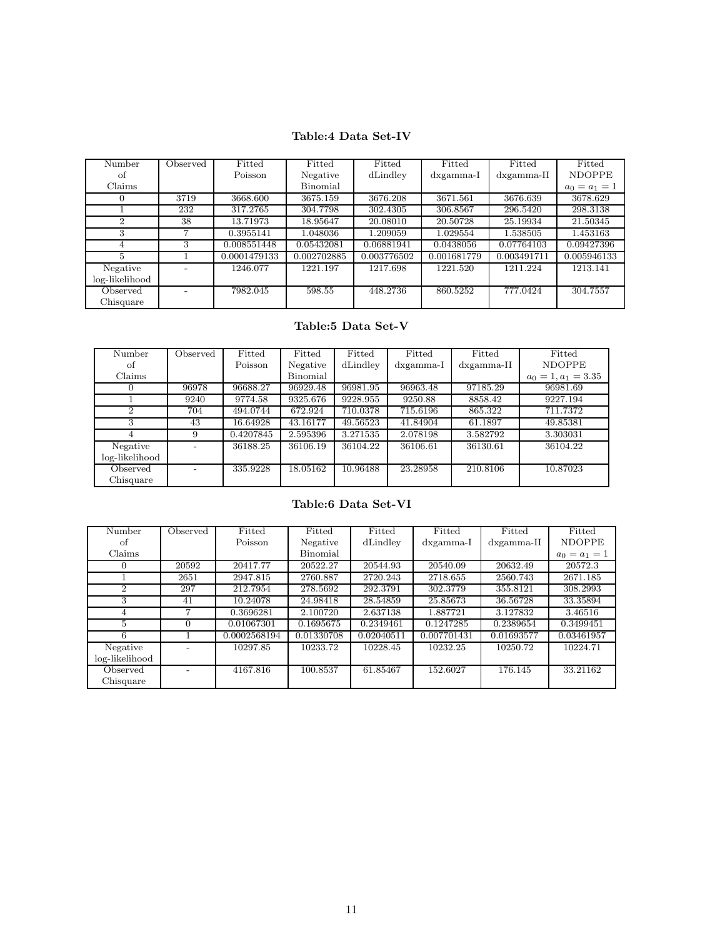### Table:4 Data Set-IV

| Number         | Observed | Fitted       | Fitted      | Fitted      | Fitted             | Fitted        | Fitted          |
|----------------|----------|--------------|-------------|-------------|--------------------|---------------|-----------------|
| οf             |          | Poisson      | Negative    | dLindley    | $dx\text{gamma-I}$ | $dx$ gamma-II | <b>NDOPPE</b>   |
| Claims         |          |              | Binomial    |             |                    |               | $a_0 = a_1 = 1$ |
| 0              | 3719     | 3668.600     | 3675.159    | 3676.208    | 3671.561           | 3676.639      | 3678.629        |
|                | 232      | 317.2765     | 304.7798    | 302.4305    | 306.8567           | 296.5420      | 298.3138        |
| $\overline{2}$ | 38       | 13.71973     | 18.95647    | 20.08010    | 20.50728           | 25.19934      | 21.50345        |
| 3              |          | 0.3955141    | 1.048036    | 1.209059    | 1.029554           | 1.538505      | 1.453163        |
| 4              | 3        | 0.008551448  | 0.05432081  | 0.06881941  | 0.0438056          | 0.07764103    | 0.09427396      |
| 5              |          | 0.0001479133 | 0.002702885 | 0.003776502 | 0.001681779        | 0.003491711   | 0.005946133     |
| Negative       |          | 1246.077     | 1221.197    | 1217.698    | 1221.520           | 1211.224      | 1213.141        |
| log-likelihood |          |              |             |             |                    |               |                 |
| Observed       |          | 7982.045     | 598.55      | 448.2736    | 860.5252           | 777.0424      | 304.7557        |
| Chisquare      |          |              |             |             |                    |               |                 |

### Table:5 Data Set-V

| Number         | Observed | Fitted    | Fitted   | Fitted   | Fitted             | Fitted              | Fitted                |
|----------------|----------|-----------|----------|----------|--------------------|---------------------|-----------------------|
| of             |          | Poisson   | Negative | dLindley | $dx\text{gamma-I}$ | $dx\text{gamma-II}$ | <b>NDOPPE</b>         |
| Claims         |          |           | Binomial |          |                    |                     | $a_0 = 1, a_1 = 3.35$ |
| 0              | 96978    | 96688.27  | 96929.48 | 96981.95 | 96963.48           | 97185.29            | 96981.69              |
|                | 9240     | 9774.58   | 9325.676 | 9228.955 | 9250.88            | 8858.42             | 9227.194              |
| $\mathcal{D}$  | 704      | 494.0744  | 672.924  | 710.0378 | 715.6196           | 865.322             | 711.7372              |
| 3              | 43       | 16.64928  | 43.16177 | 49.56523 | 41.84904           | 61.1897             | 49.85381              |
|                | 9        | 0.4207845 | 2.595396 | 3.271535 | 2.078198           | 3.582792            | 3.303031              |
| Negative       |          | 36188.25  | 36106.19 | 36104.22 | 36106.61           | 36130.61            | 36104.22              |
| log-likelihood |          |           |          |          |                    |                     |                       |
| Observed       |          | 335.9228  | 18.05162 | 10.96488 | 23.28958           | 210.8106            | 10.87023              |
| Chisquare      |          |           |          |          |                    |                     |                       |

Table:6 Data Set-VI

| Number         | Observed | Fitted       | Fitted     | Fitted     | Fitted      | Fitted              | Fitted          |
|----------------|----------|--------------|------------|------------|-------------|---------------------|-----------------|
| of             |          | Poisson      | Negative   | dLindley   | dxgamma-I   | $dx\text{gamma-II}$ | <b>NDOPPE</b>   |
| Claims         |          |              | Binomial   |            |             |                     | $a_0 = a_1 = 1$ |
| $\Omega$       | 20592    | 20417.77     | 20522.27   | 20544.93   | 20540.09    | 20632.49            | 20572.3         |
|                | 2651     | 2947.815     | 2760.887   | 2720.243   | 2718.655    | 2560.743            | 2671.185        |
| $\overline{2}$ | 297      | 212.7954     | 278.5692   | 292.3791   | 302.3779    | 355.8121            | 308.2993        |
| 3              | 41       | 10.24078     | 24.98418   | 28.54859   | 25.85673    | 36.56728            | 33.35894        |
| 4              |          | 0.3696281    | 2.100720   | 2.637138   | 1.887721    | 3.127832            | 3.46516         |
| 5              | $\Omega$ | 0.01067301   | 0.1695675  | 0.2349461  | 0.1247285   | 0.2389654           | 0.3499451       |
| 6              |          | 0.0002568194 | 0.01330708 | 0.02040511 | 0.007701431 | 0.01693577          | 0.03461957      |
| Negative       |          | 10297.85     | 10233.72   | 10228.45   | 10232.25    | 10250.72            | 10224.71        |
| log-likelihood |          |              |            |            |             |                     |                 |
| Observed       |          | 4167.816     | 100.8537   | 61.85467   | 152.6027    | 176.145             | 33.21162        |
| Chisquare      |          |              |            |            |             |                     |                 |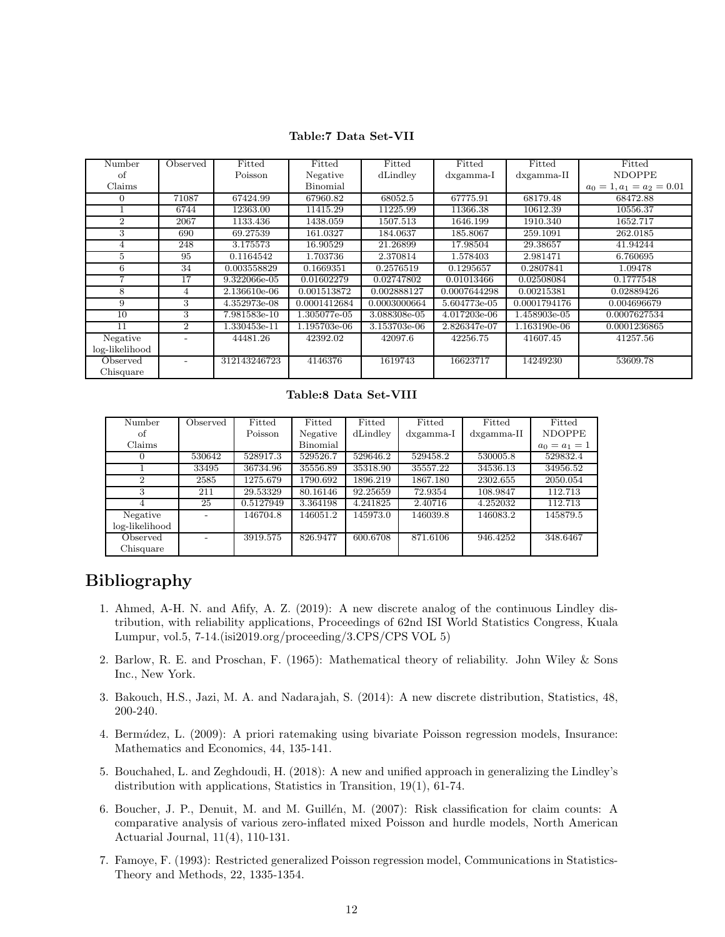| Table:7 Data Set-VII |  |
|----------------------|--|
|----------------------|--|

| Number         | Observed                    | Fitted       | Fitted       | Fitted       | Fitted             | Fitted              | Fitted                      |
|----------------|-----------------------------|--------------|--------------|--------------|--------------------|---------------------|-----------------------------|
| of             |                             | Poisson      | Negative     | dLindley     | $dx\text{gamma-I}$ | $dx\text{gamma-II}$ | <b>NDOPPE</b>               |
| Claims         |                             |              | Binomial     |              |                    |                     | $a_0 = 1, a_1 = a_2 = 0.01$ |
| $\theta$       | 71087                       | 67424.99     | 67960.82     | 68052.5      | 67775.91           | 68179.48            | 68472.88                    |
|                | 6744                        | 12363.00     | 11415.29     | 11225.99     | 11366.38           | 10612.39            | 10556.37                    |
| $\overline{2}$ | 2067                        | 1133.436     | 1438.059     | 1507.513     | 1646.199           | 1910.340            | 1652.717                    |
| 3              | 690                         | 69.27539     | 161.0327     | 184.0637     | 185.8067           | 259.1091            | 262.0185                    |
| 4              | 248                         | 3.175573     | 16.90529     | 21.26899     | 17.98504           | 29.38657            | 41.94244                    |
| 5              | 95                          | 0.1164542    | 1.703736     | 2.370814     | 1.578403           | 2.981471            | 6.760695                    |
| 6              | 34                          | 0.003558829  | 0.1669351    | 0.2576519    | 0.1295657          | 0.2807841           | 1.09478                     |
| 7              | 17                          | 9.322066e-05 | 0.01602279   | 0.02747802   | 0.01013466         | 0.02508084          | 0.1777548                   |
| 8              | 4                           | 2.136610e-06 | 0.001513872  | 0.002888127  | 0.0007644298       | 0.00215381          | 0.02889426                  |
| 9              | 3                           | 4.352973e-08 | 0.0001412684 | 0.0003000664 | 5.604773e-05       | 0.0001794176        | 0.004696679                 |
| 10             | 3                           | 7.981583e-10 | 1.305077e-05 | 3.088308e-05 | 4.017203e-06       | 1.458903e-05        | 0.0007627534                |
| 11             | $\mathcal{D}_{\mathcal{L}}$ | 1.330453e-11 | 1.195703e-06 | 3.153703e-06 | 2.826347e-07       | 1.163190e-06        | 0.0001236865                |
| Negative       |                             | 44481.26     | 42392.02     | 42097.6      | 42256.75           | 41607.45            | 41257.56                    |
| log-likelihood |                             |              |              |              |                    |                     |                             |
| Observed       | $\overline{\phantom{0}}$    | 312143246723 | 4146376      | 1619743      | 16623717           | 14249230            | 53609.78                    |
| Chisquare      |                             |              |              |              |                    |                     |                             |
|                |                             |              |              |              |                    |                     |                             |

Table:8 Data Set-VIII

| Number         | Observed | Fitted    | Fitted   | Fitted   | Fitted       | Fitted        | Fitted          |
|----------------|----------|-----------|----------|----------|--------------|---------------|-----------------|
| of             |          | Poisson   | Negative | dLindley | $dx$ gamma-I | $dx$ gamma-II | <b>NDOPPE</b>   |
| Claims         |          |           | Binomial |          |              |               | $a_0 = a_1 = 1$ |
| $\theta$       | 530642   | 528917.3  | 529526.7 | 529646.2 | 529458.2     | 530005.8      | 529832.4        |
|                | 33495    | 36734.96  | 35556.89 | 35318.90 | 35557.22     | 34536.13      | 34956.52        |
| $\mathfrak{D}$ | 2585     | 1275.679  | 1790.692 | 1896.219 | 1867.180     | 2302.655      | 2050.054        |
| 3              | 211      | 29.53329  | 80.16146 | 92.25659 | 72.9354      | 108.9847      | 112.713         |
| 4              | 25       | 0.5127949 | 3.364198 | 4.241825 | 2.40716      | 4.252032      | 112.713         |
| Negative       |          | 146704.8  | 146051.2 | 145973.0 | 146039.8     | 146083.2      | 145879.5        |
| log-likelihood |          |           |          |          |              |               |                 |
| Observed       |          | 3919.575  | 826.9477 | 600.6708 | 871.6106     | 946.4252      | 348.6467        |
| Chisquare      |          |           |          |          |              |               |                 |

## Bibliography

- 1. Ahmed, A-H. N. and Afify, A. Z. (2019): A new discrete analog of the continuous Lindley distribution, with reliability applications, Proceedings of 62nd ISI World Statistics Congress, Kuala Lumpur, vol.5, 7-14.(isi2019.org/proceeding/3.CPS/CPS VOL 5)
- 2. Barlow, R. E. and Proschan, F. (1965): Mathematical theory of reliability. John Wiley & Sons Inc., New York.
- 3. Bakouch, H.S., Jazi, M. A. and Nadarajah, S. (2014): A new discrete distribution, Statistics, 48, 200-240.
- 4. Bermúdez, L. (2009): A priori ratemaking using bivariate Poisson regression models, Insurance: Mathematics and Economics, 44, 135-141.
- 5. Bouchahed, L. and Zeghdoudi, H. (2018): A new and unified approach in generalizing the Lindley's distribution with applications, Statistics in Transition, 19(1), 61-74.
- 6. Boucher, J. P., Denuit, M. and M. Guillén, M. (2007): Risk classification for claim counts: A comparative analysis of various zero-inflated mixed Poisson and hurdle models, North American Actuarial Journal, 11(4), 110-131.
- 7. Famoye, F. (1993): Restricted generalized Poisson regression model, Communications in Statistics-Theory and Methods, 22, 1335-1354.